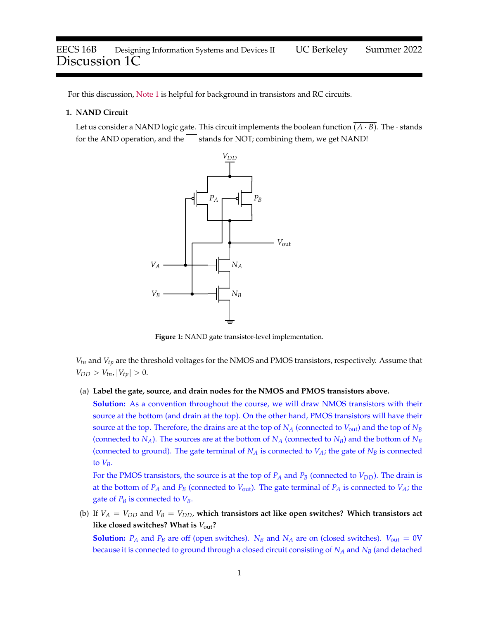For this discussion, [Note 1](https://eecs16b.org/notes/su22/note01.pdf) is helpful for background in transistors and RC circuits.

## **1. NAND Circuit**

Let us consider a NAND logic gate. This circuit implements the boolean function  $\overline{(A \cdot B)}$ . The · stands for the AND operation, and the stands for NOT; combining them, we get NAND!



**Figure 1:** NAND gate transistor-level implementation.

*Vtn* and *Vtp* are the threshold voltages for the NMOS and PMOS transistors, respectively. Assume that  $V_{DD} > V_{tn}$ ,  $|V_{tp}| > 0$ .

(a) **Label the gate, source, and drain nodes for the NMOS and PMOS transistors above.**

**Solution:** As a convention throughout the course, we will draw NMOS transistors with their source at the bottom (and drain at the top). On the other hand, PMOS transistors will have their source at the top. Therefore, the drains are at the top of  $N_A$  (connected to  $V_{\text{out}}$ ) and the top of  $N_B$ (connected to  $N_A$ ). The sources are at the bottom of  $N_A$  (connected to  $N_B$ ) and the bottom of  $N_B$ (connected to ground). The gate terminal of  $N_A$  is connected to  $V_A$ ; the gate of  $N_B$  is connected to  $V_B$ .

For the PMOS transistors, the source is at the top of  $P_A$  and  $P_B$  (connected to  $V_{DD}$ ). The drain is at the bottom of  $P_A$  and  $P_B$  (connected to  $V_{\text{out}}$ ). The gate terminal of  $P_A$  is connected to  $V_A$ ; the gate of  $P_B$  is connected to  $V_B$ .

(b) If  $V_A = V_{DD}$  and  $V_B = V_{DD}$ , which transistors act like open switches? Which transistors act **like closed switches? What is** *V*out**?**

**Solution:**  $P_A$  and  $P_B$  are off (open switches).  $N_B$  and  $N_A$  are on (closed switches).  $V_{out} = 0$ V because it is connected to ground through a closed circuit consisting of *N<sup>A</sup>* and *N<sup>B</sup>* (and detached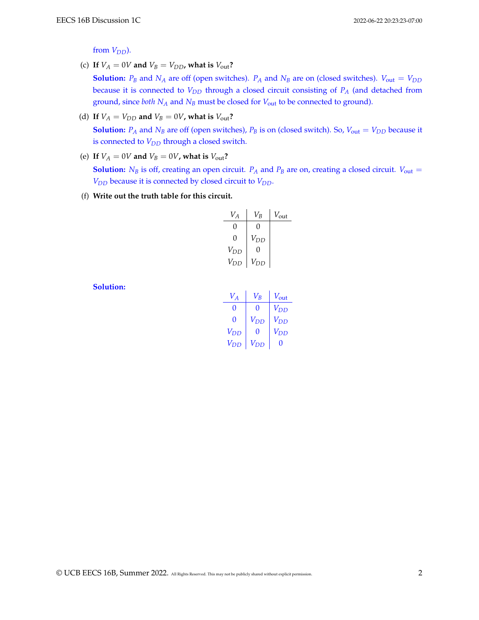from  $V_{DD}$ ).

(c) If  $V_A = 0V$  and  $V_B = V_{DD}$ , what is  $V_{out}$ ?

**Solution:**  $P_B$  and  $N_A$  are off (open switches).  $P_A$  and  $N_B$  are on (closed switches).  $V_{out} = V_{DD}$ because it is connected to *VDD* through a closed circuit consisting of *P<sup>A</sup>* (and detached from ground, since *both N<sup>A</sup>* and *N<sup>B</sup>* must be closed for *V*out to be connected to ground).

(d) If  $V_A = V_{DD}$  and  $V_B = 0V$ , what is  $V_{out}$ ?

**Solution:**  $P_A$  and  $N_B$  are off (open switches),  $P_B$  is on (closed switch). So,  $V_{out} = V_{DD}$  because it is connected to *VDD* through a closed switch.

(e) If  $V_A = 0V$  and  $V_B = 0V$ , what is  $V_{\text{out}}$ ?

**Solution:**  $N_B$  is off, creating an open circuit.  $P_A$  and  $P_B$  are on, creating a closed circuit.  $V_{\text{out}} =$ *VDD* because it is connected by closed circuit to *VDD*.

(f) **Write out the truth table for this circuit.**

| $V_A$    | $V_{\mathcal{B}}$ | $V_{\text{out}}$ |
|----------|-------------------|------------------|
| 0        | 0                 |                  |
| 0        | $V_{DD}$          |                  |
| $V_{DD}$ | 0                 |                  |
| $V_{DD}$ | V <sub>DD</sub>   |                  |

**Solution:**

| $V_A$    | $V_{\mathcal{B}}$ | $V_{\text{out}}$ |
|----------|-------------------|------------------|
| 0        | 0                 | $V_{DD}$         |
| 0        | $V_{DD}$          | $V_{DD}$         |
| $V_{DD}$ | 0                 | $V_{DD}$         |
| $V_{DD}$ | $V_{DD}$          | 0                |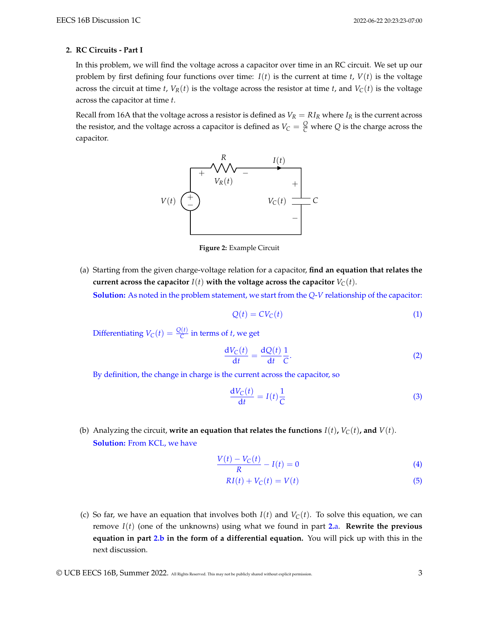## **2. RC Circuits - Part I**

In this problem, we will find the voltage across a capacitor over time in an RC circuit. We set up our problem by first defining four functions over time:  $I(t)$  is the current at time *t*,  $V(t)$  is the voltage across the circuit at time *t*,  $V_R(t)$  is the voltage across the resistor at time *t*, and  $V_C(t)$  is the voltage across the capacitor at time *t*.

Recall from 16A that the voltage across a resistor is defined as  $V_R = R I_R$  where  $I_R$  is the current across the resistor, and the voltage across a capacitor is defined as  $V_C = \frac{Q}{C}$  where  $Q$  is the charge across the capacitor.



**Figure 2:** Example Circuit

<span id="page-2-0"></span>(a) Starting from the given charge-voltage relation for a capacitor, **find an equation that relates the** current across the capacitor  $I(t)$  with the voltage across the capacitor  $V_C(t)$ . **Solution:** As noted in the problem statement, we start from the *Q*-*V* relationship of the capacitor:

$$
Q(t) = CV_C(t)
$$
 (1)

Differentiating  $V_C(t) = \frac{Q(t)}{C}$  in terms of *t*, we get

$$
\frac{dV_C(t)}{dt} = \frac{dQ(t)}{dt} \frac{1}{C}.
$$
 (2)

By definition, the change in charge is the current across the capacitor, so

$$
\frac{\mathrm{d}V_{\mathrm{C}}(t)}{\mathrm{d}t} = I(t)\frac{1}{\mathrm{C}}\tag{3}
$$

<span id="page-2-1"></span>(b) Analyzing the circuit, **write an equation that relates the functions**  $I(t)$ ,  $V_C(t)$ , and  $V(t)$ . **Solution:** From KCL, we have

$$
\frac{V(t) - V_C(t)}{R} - I(t) = 0
$$
\n(4)

<span id="page-2-2"></span>
$$
RI(t) + V_C(t) = V(t)
$$
\n(5)

(c) So far, we have an equation that involves both  $I(t)$  and  $V_C(t)$ . To solve this equation, we can remove *I*(*t*) (one of the unknowns) using what we found in part **[2.](#page-2-0)**a. **Rewrite the previous equation in part [2.b](#page-2-1) in the form of a differential equation.** You will pick up with this in the next discussion.